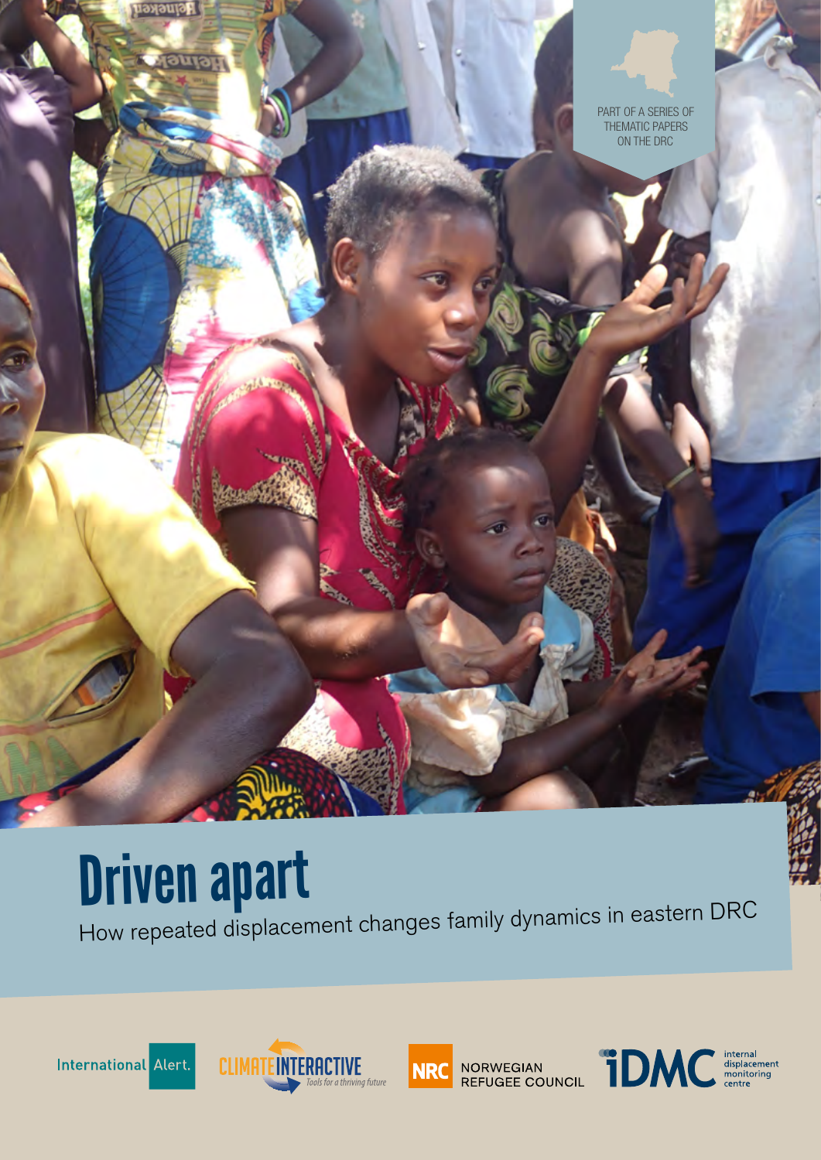

# Driven apart

How repeated displacement changes family dynamics in eastern DRC







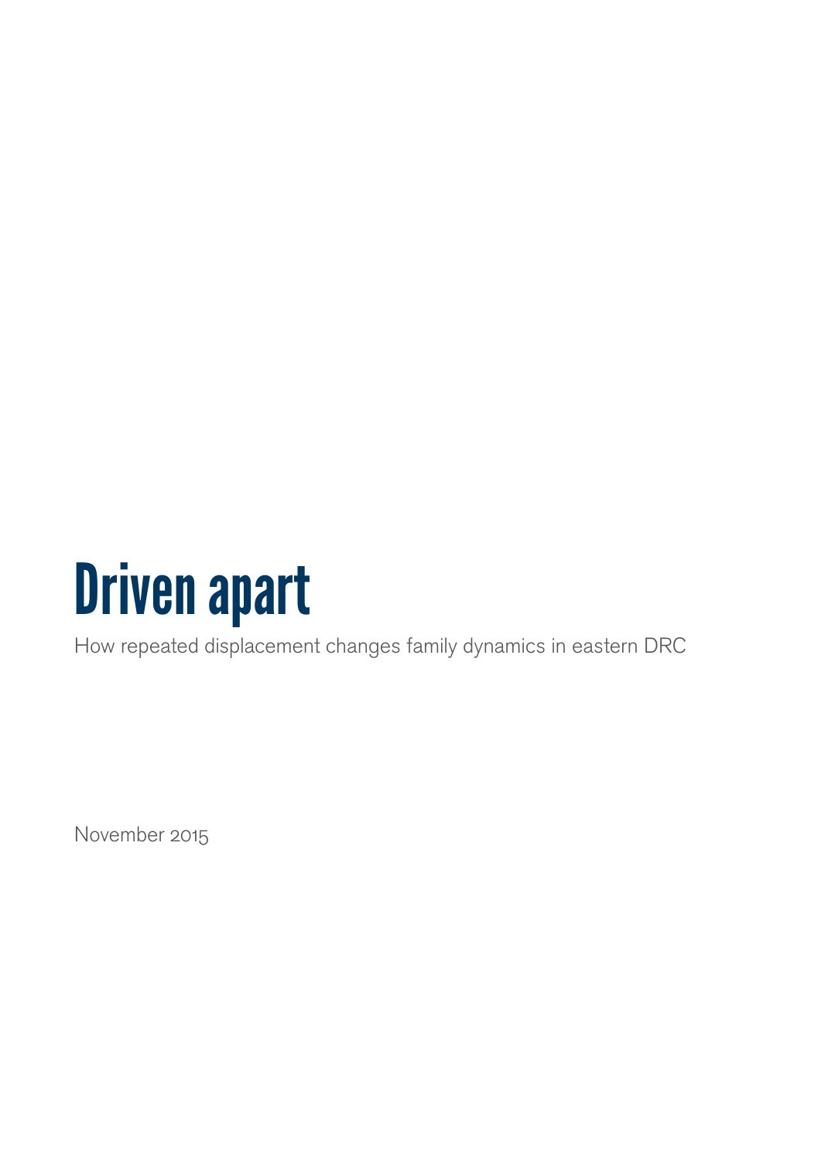

How repeated displacement changes family dynamics in eastern DRC

November 2015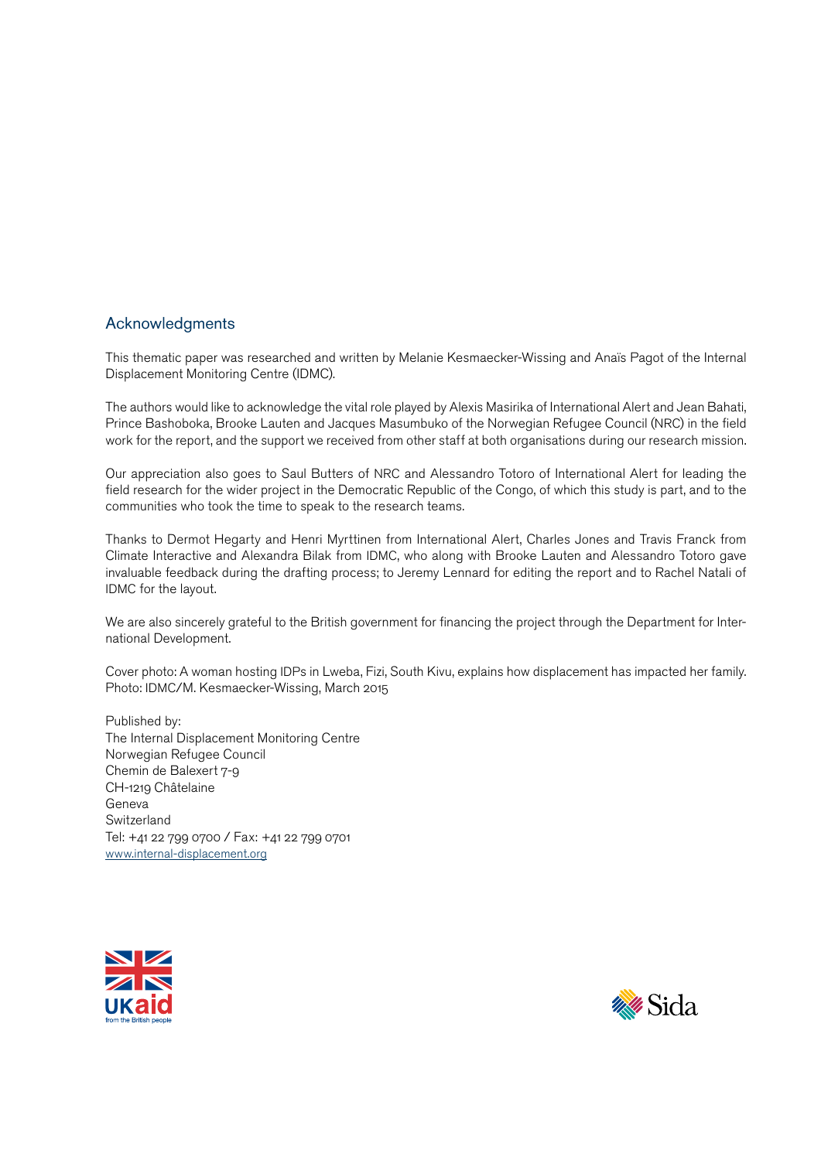### Acknowledgments

This thematic paper was researched and written by Melanie Kesmaecker-Wissing and Anaïs Pagot of the Internal Displacement Monitoring Centre (IDMC).

The authors would like to acknowledge the vital role played by Alexis Masirika of International Alert and Jean Bahati, Prince Bashoboka, Brooke Lauten and Jacques Masumbuko of the Norwegian Refugee Council (NRC) in the field work for the report, and the support we received from other staff at both organisations during our research mission.

Our appreciation also goes to Saul Butters of NRC and Alessandro Totoro of International Alert for leading the field research for the wider project in the Democratic Republic of the Congo, of which this study is part, and to the communities who took the time to speak to the research teams.

Thanks to Dermot Hegarty and Henri Myrttinen from International Alert, Charles Jones and Travis Franck from Climate Interactive and Alexandra Bilak from IDMC, who along with Brooke Lauten and Alessandro Totoro gave invaluable feedback during the drafting process; to Jeremy Lennard for editing the report and to Rachel Natali of IDMC for the layout.

We are also sincerely grateful to the British government for financing the project through the Department for International Development.

Cover photo: A woman hosting IDPs in Lweba, Fizi, South Kivu, explains how displacement has impacted her family. Photo: IDMC/M. Kesmaecker-Wissing, March 2015

Published by: The Internal Displacement Monitoring Centre Norwegian Refugee Council Chemin de Balexert 7-9 CH-1219 Châtelaine Geneva **Switzerland** Tel: +41 22 799 0700 / Fax: +41 22 799 0701 [www.internal-displacement.org](http://www.internal-displacement.org)



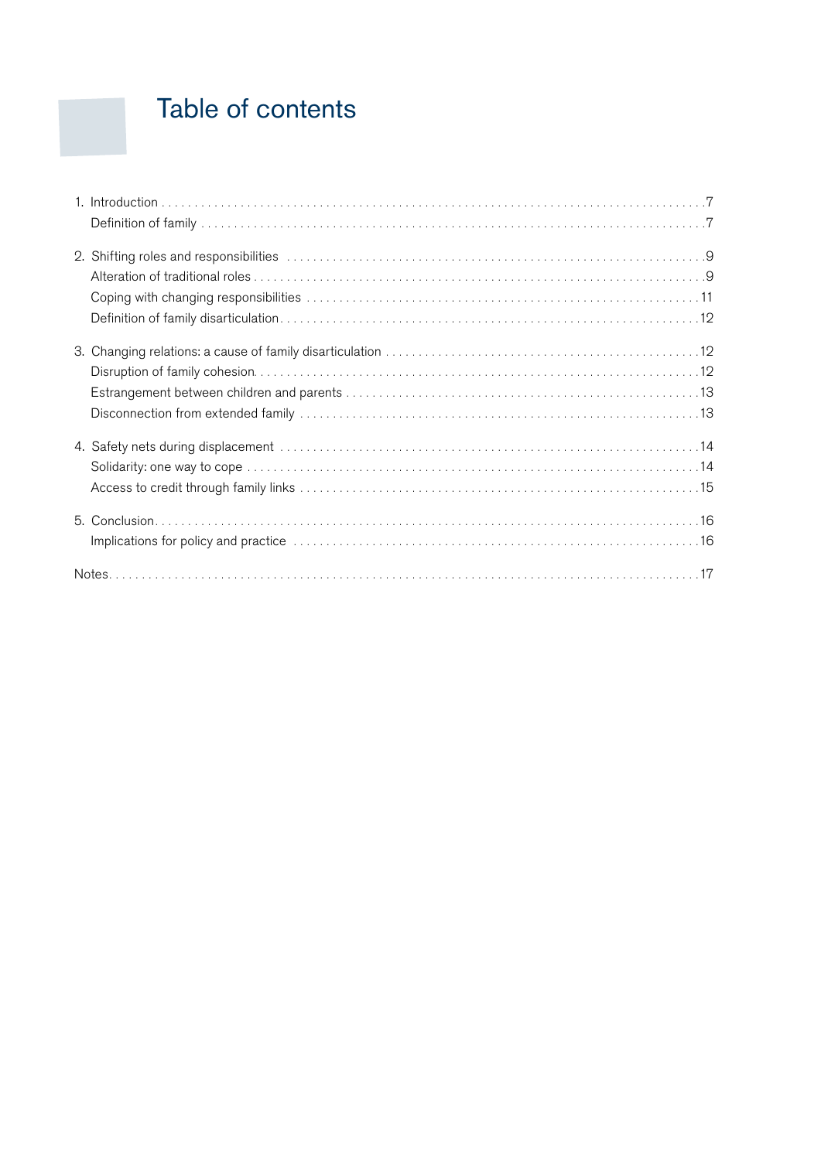## Table of contents

| 2. Shifting roles and responsibilities contract to contact the control of the state of the state of the state of $9$ |  |
|----------------------------------------------------------------------------------------------------------------------|--|
|                                                                                                                      |  |
|                                                                                                                      |  |
|                                                                                                                      |  |
|                                                                                                                      |  |
|                                                                                                                      |  |
|                                                                                                                      |  |
|                                                                                                                      |  |
| 4. Safety nets during displacement www.communications.communications.communications.com                              |  |
|                                                                                                                      |  |
|                                                                                                                      |  |
|                                                                                                                      |  |
|                                                                                                                      |  |
|                                                                                                                      |  |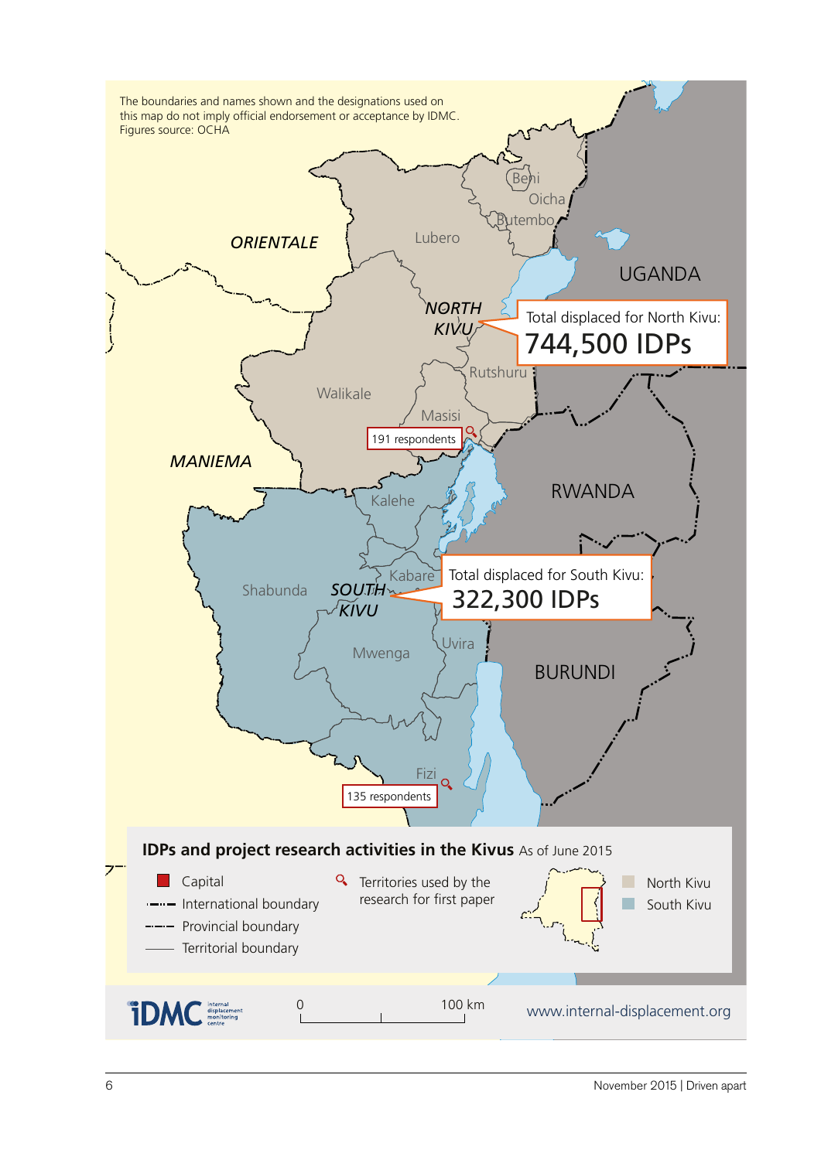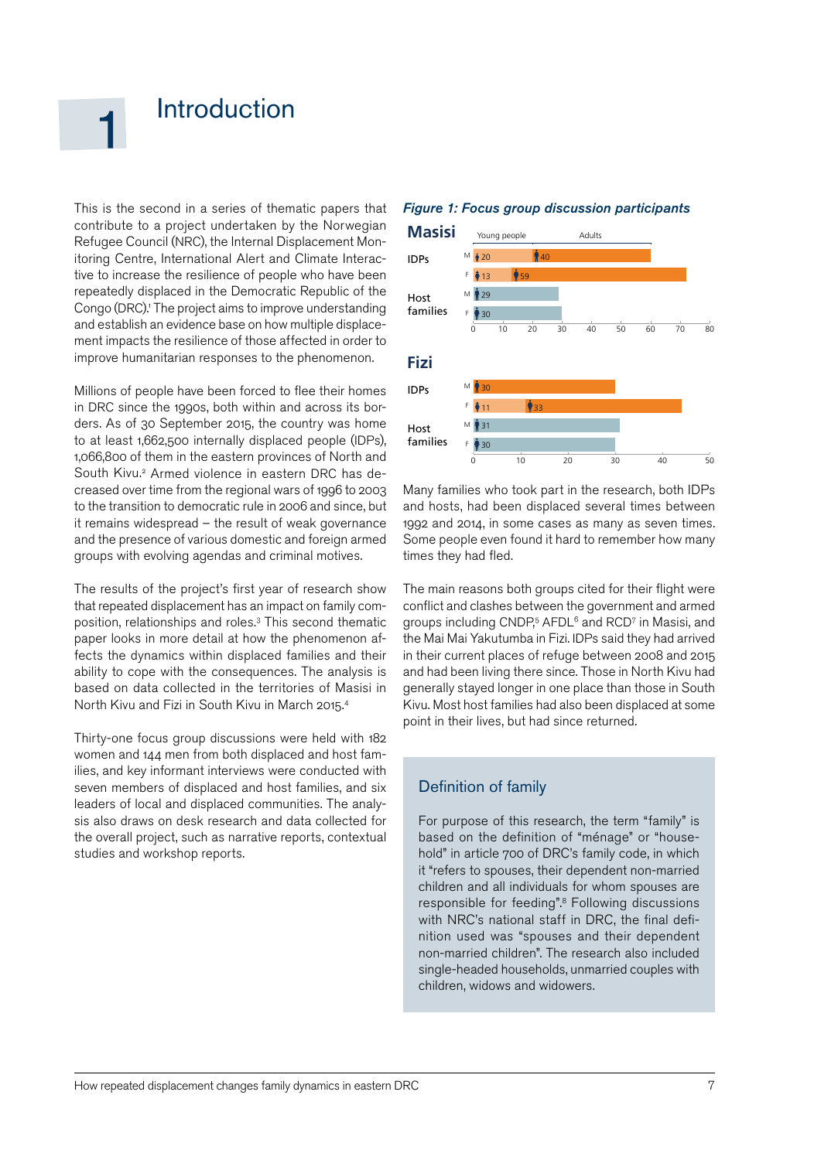### <span id="page-6-0"></span>**Introduction**

This is the second in a series of thematic papers that contribute to a project undertaken by the Norwegian Refugee Council (NRC), the Internal Displacement Monitoring Centre, International Alert and Climate Interactive to increase the resilience of people who have been repeatedly displaced in the Democratic Republic of the Congo (DRC).<sup>1</sup> The project aims to improve understanding and establish an evidence base on how multiple displacement impacts the resilience of those affected in order to improve humanitarian responses to the phenomenon.

Millions of people have been forced to flee their homes in DRC since the 1990s, both within and across its borders. As of 30 September 2015, the country was home to at least 1,662,500 internally displaced people (IDPs), 1,066,800 of them in the eastern provinces of North and South Kivu.<sup>2</sup> Armed violence in eastern DRC has decreased over time from the regional wars of 1996 to 2003 to the transition to democratic rule in 2006 and since, but it remains widespread – the result of weak governance and the presence of various domestic and foreign armed groups with evolving agendas and criminal motives.

The results of the project's first year of research show that repeated displacement has an impact on family composition, relationships and roles.3 This second thematic paper looks in more detail at how the phenomenon affects the dynamics within displaced families and their ability to cope with the consequences. The analysis is based on data collected in the territories of Masisi in North Kivu and Fizi in South Kivu in March 2015.4

Thirty-one focus group discussions were held with 182 women and 144 men from both displaced and host families, and key informant interviews were conducted with seven members of displaced and host families, and six leaders of local and displaced communities. The analysis also draws on desk research and data collected for the overall project, such as narrative reports, contextual studies and workshop reports.

#### *Figure 1: Focus group discussion participants*



Many families who took part in the research, both IDPs and hosts, had been displaced several times between 1992 and 2014, in some cases as many as seven times. Some people even found it hard to remember how many times they had fled.

The main reasons both groups cited for their flight were conflict and clashes between the government and armed groups including CNDP, <sup>5</sup> AFDL6 and RCD7 in Masisi, and the Mai Mai Yakutumba in Fizi. IDPs said they had arrived in their current places of refuge between 2008 and 2015 and had been living there since. Those in North Kivu had generally stayed longer in one place than those in South Kivu. Most host families had also been displaced at some point in their lives, but had since returned.

#### Definition of family

For purpose of this research, the term "family" is based on the definition of "ménage" or "household" in article 700 of DRC's family code, in which it "refers to spouses, their dependent non-married children and all individuals for whom spouses are responsible for feeding".<sup>8</sup> Following discussions with NRC's national staff in DRC, the final definition used was "spouses and their dependent non-married children". The research also included single-headed households, unmarried couples with children, widows and widowers.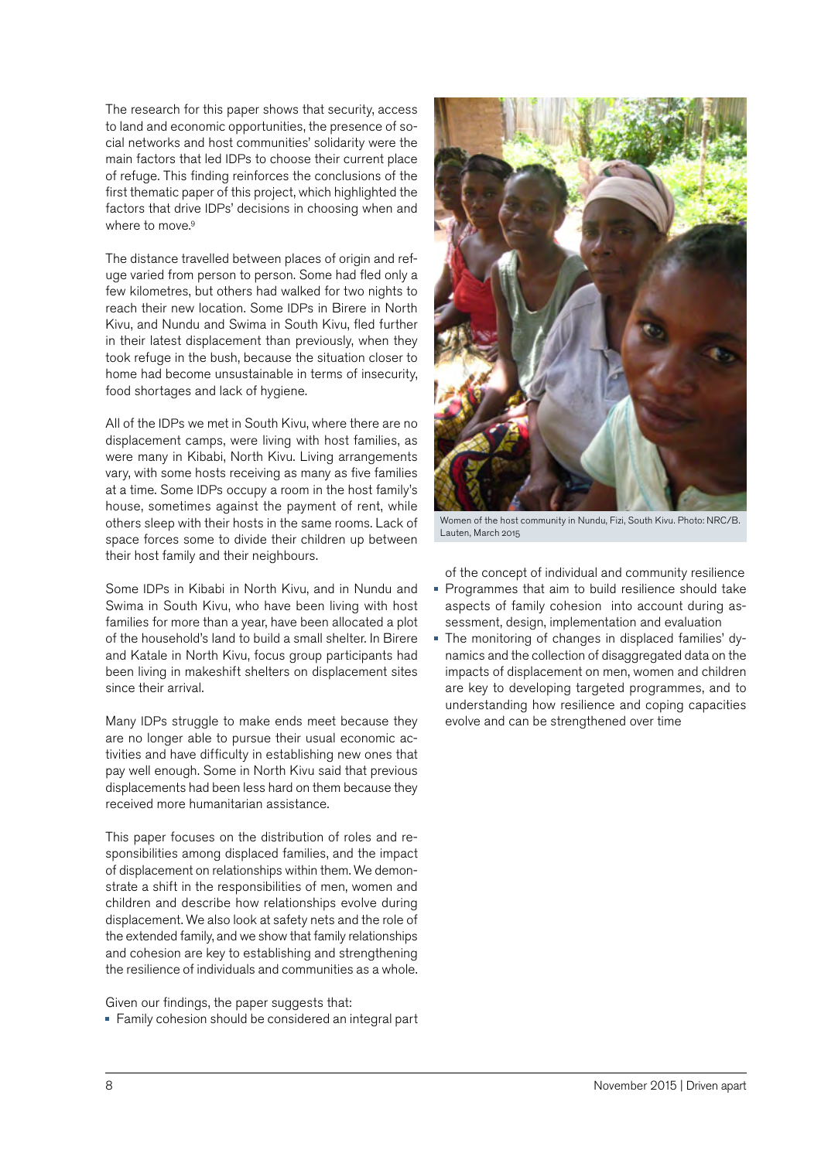The research for this paper shows that security, access to land and economic opportunities, the presence of social networks and host communities' solidarity were the main factors that led IDPs to choose their current place of refuge. This finding reinforces the conclusions of the first thematic paper of this project, which highlighted the factors that drive IDPs' decisions in choosing when and where to move.<sup>9</sup>

The distance travelled between places of origin and refuge varied from person to person. Some had fled only a few kilometres, but others had walked for two nights to reach their new location. Some IDPs in Birere in North Kivu, and Nundu and Swima in South Kivu, fled further in their latest displacement than previously, when they took refuge in the bush, because the situation closer to home had become unsustainable in terms of insecurity, food shortages and lack of hygiene.

All of the IDPs we met in South Kivu, where there are no displacement camps, were living with host families, as were many in Kibabi, North Kivu. Living arrangements vary, with some hosts receiving as many as five families at a time. Some IDPs occupy a room in the host family's house, sometimes against the payment of rent, while others sleep with their hosts in the same rooms. Lack of space forces some to divide their children up between their host family and their neighbours.

Some IDPs in Kibabi in North Kivu, and in Nundu and Swima in South Kivu, who have been living with host families for more than a year, have been allocated a plot of the household's land to build a small shelter. In Birere and Katale in North Kivu, focus group participants had been living in makeshift shelters on displacement sites since their arrival.

Many IDPs struggle to make ends meet because they are no longer able to pursue their usual economic activities and have difficulty in establishing new ones that pay well enough. Some in North Kivu said that previous displacements had been less hard on them because they received more humanitarian assistance.

This paper focuses on the distribution of roles and responsibilities among displaced families, and the impact of displacement on relationships within them. We demonstrate a shift in the responsibilities of men, women and children and describe how relationships evolve during displacement. We also look at safety nets and the role of the extended family, and we show that family relationships and cohesion are key to establishing and strengthening the resilience of individuals and communities as a whole.

Given our findings, the paper suggests that: Family cohesion should be considered an integral part



Women of the host community in Nundu, Fizi, South Kivu. Photo: NRC/B. Lauten, March 2015

of the concept of individual and community resilience

- Programmes that aim to build resilience should take aspects of family cohesion into account during assessment, design, implementation and evaluation
- The monitoring of changes in displaced families' dynamics and the collection of disaggregated data on the impacts of displacement on men, women and children are key to developing targeted programmes, and to understanding how resilience and coping capacities evolve and can be strengthened over time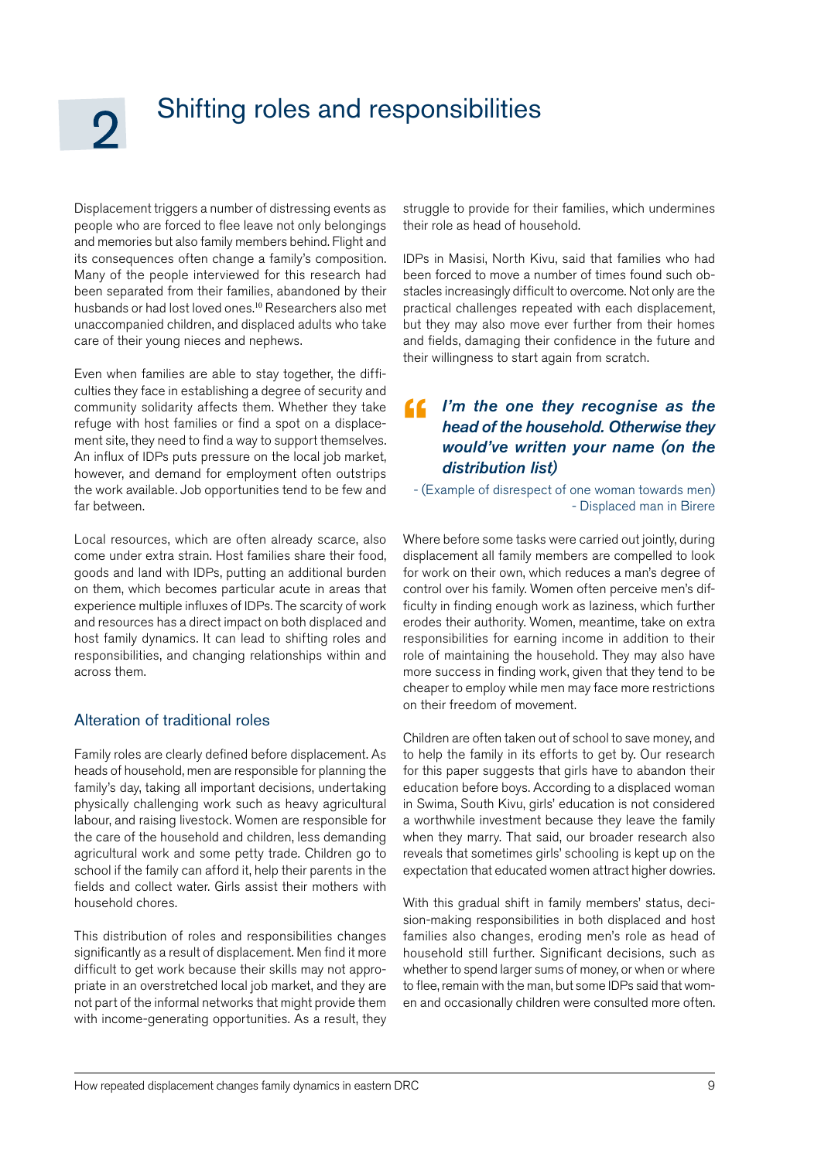### <span id="page-8-0"></span>Shifting roles and responsibilities

Displacement triggers a number of distressing events as people who are forced to flee leave not only belongings and memories but also family members behind. Flight and its consequences often change a family's composition. Many of the people interviewed for this research had been separated from their families, abandoned by their husbands or had lost loved ones.<sup>10</sup> Researchers also met unaccompanied children, and displaced adults who take care of their young nieces and nephews.

Even when families are able to stay together, the difficulties they face in establishing a degree of security and community solidarity affects them. Whether they take refuge with host families or find a spot on a displacement site, they need to find a way to support themselves. An influx of IDPs puts pressure on the local job market, however, and demand for employment often outstrips the work available. Job opportunities tend to be few and far between.

Local resources, which are often already scarce, also come under extra strain. Host families share their food, goods and land with IDPs, putting an additional burden on them, which becomes particular acute in areas that experience multiple influxes of IDPs. The scarcity of work and resources has a direct impact on both displaced and host family dynamics. It can lead to shifting roles and responsibilities, and changing relationships within and across them.

### Alteration of traditional roles

Family roles are clearly defined before displacement. As heads of household, men are responsible for planning the family's day, taking all important decisions, undertaking physically challenging work such as heavy agricultural labour, and raising livestock. Women are responsible for the care of the household and children, less demanding agricultural work and some petty trade. Children go to school if the family can afford it, help their parents in the fields and collect water. Girls assist their mothers with household chores.

This distribution of roles and responsibilities changes significantly as a result of displacement. Men find it more difficult to get work because their skills may not appropriate in an overstretched local job market, and they are not part of the informal networks that might provide them with income-generating opportunities. As a result, they struggle to provide for their families, which undermines their role as head of household.

IDPs in Masisi, North Kivu, said that families who had been forced to move a number of times found such obstacles increasingly difficult to overcome. Not only are the practical challenges repeated with each displacement, but they may also move ever further from their homes and fields, damaging their confidence in the future and their willingness to start again from scratch.

#### *I'm the one they recognise as the head of the household. Otherwise they would've written your name (on the distribution list)*   $\epsilon$

- (Example of disrespect of one woman towards men) - Displaced man in Birere

Where before some tasks were carried out jointly, during displacement all family members are compelled to look for work on their own, which reduces a man's degree of control over his family. Women often perceive men's difficulty in finding enough work as laziness, which further erodes their authority. Women, meantime, take on extra responsibilities for earning income in addition to their role of maintaining the household. They may also have more success in finding work, given that they tend to be cheaper to employ while men may face more restrictions on their freedom of movement.

Children are often taken out of school to save money, and to help the family in its efforts to get by. Our research for this paper suggests that girls have to abandon their education before boys. According to a displaced woman in Swima, South Kivu, girls' education is not considered a worthwhile investment because they leave the family when they marry. That said, our broader research also reveals that sometimes girls' schooling is kept up on the expectation that educated women attract higher dowries.

With this gradual shift in family members' status, decision-making responsibilities in both displaced and host families also changes, eroding men's role as head of household still further. Significant decisions, such as whether to spend larger sums of money, or when or where to flee, remain with the man, but some IDPs said that women and occasionally children were consulted more often.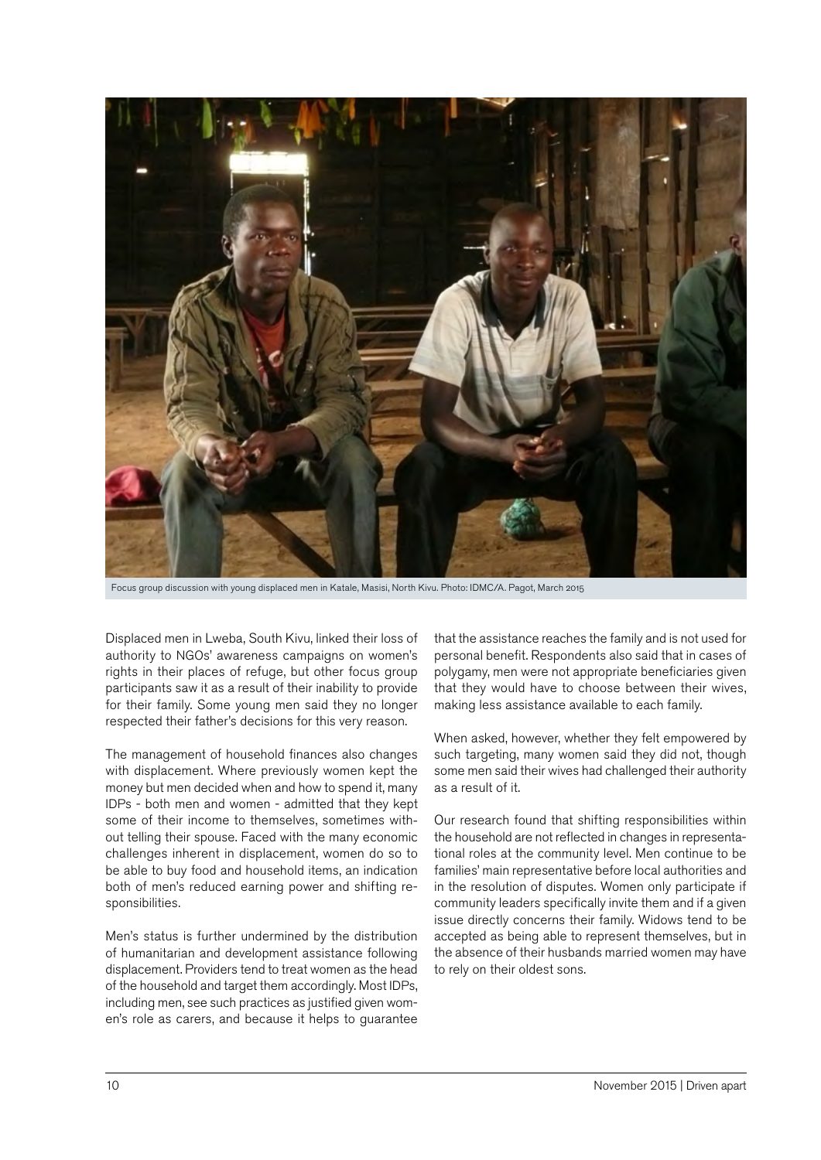

Focus group discussion with young displaced men in Katale, Masisi, North Kivu. Photo: IDMC/A. Pagot, March 2015

Displaced men in Lweba, South Kivu, linked their loss of authority to NGOs' awareness campaigns on women's rights in their places of refuge, but other focus group participants saw it as a result of their inability to provide for their family. Some young men said they no longer respected their father's decisions for this very reason.

The management of household finances also changes with displacement. Where previously women kept the money but men decided when and how to spend it, many IDPs - both men and women - admitted that they kept some of their income to themselves, sometimes without telling their spouse. Faced with the many economic challenges inherent in displacement, women do so to be able to buy food and household items, an indication both of men's reduced earning power and shifting responsibilities.

Men's status is further undermined by the distribution of humanitarian and development assistance following displacement. Providers tend to treat women as the head of the household and target them accordingly. Most IDPs, including men, see such practices as justified given women's role as carers, and because it helps to guarantee that the assistance reaches the family and is not used for personal benefit. Respondents also said that in cases of polygamy, men were not appropriate beneficiaries given that they would have to choose between their wives, making less assistance available to each family.

When asked, however, whether they felt empowered by such targeting, many women said they did not, though some men said their wives had challenged their authority as a result of it.

Our research found that shifting responsibilities within the household are not reflected in changes in representational roles at the community level. Men continue to be families' main representative before local authorities and in the resolution of disputes. Women only participate if community leaders specifically invite them and if a given issue directly concerns their family. Widows tend to be accepted as being able to represent themselves, but in the absence of their husbands married women may have to rely on their oldest sons.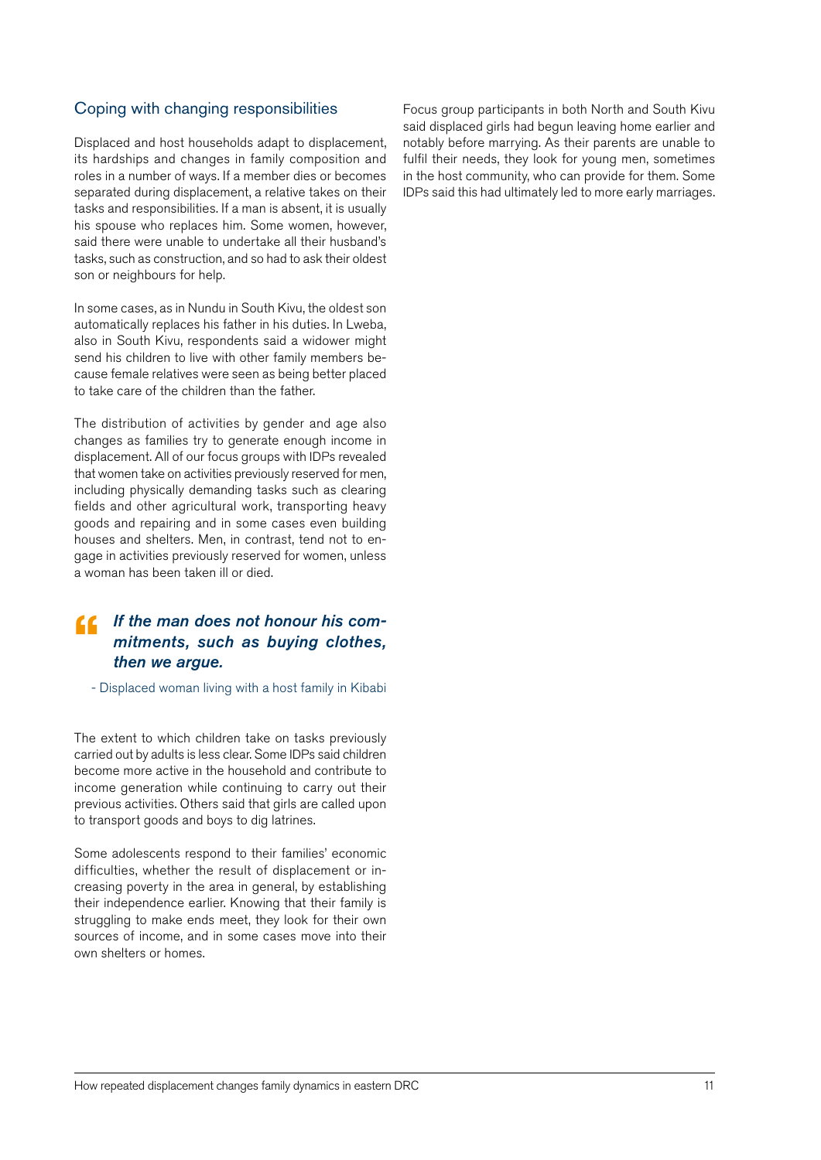### <span id="page-10-0"></span>Coping with changing responsibilities

Displaced and host households adapt to displacement, its hardships and changes in family composition and roles in a number of ways. If a member dies or becomes separated during displacement, a relative takes on their tasks and responsibilities. If a man is absent, it is usually his spouse who replaces him. Some women, however, said there were unable to undertake all their husband's tasks, such as construction, and so had to ask their oldest son or neighbours for help.

In some cases, as in Nundu in South Kivu, the oldest son automatically replaces his father in his duties. In Lweba, also in South Kivu, respondents said a widower might send his children to live with other family members because female relatives were seen as being better placed to take care of the children than the father.

The distribution of activities by gender and age also changes as families try to generate enough income in displacement. All of our focus groups with IDPs revealed that women take on activities previously reserved for men, including physically demanding tasks such as clearing fields and other agricultural work, transporting heavy goods and repairing and in some cases even building houses and shelters. Men, in contrast, tend not to engage in activities previously reserved for women, unless a woman has been taken ill or died.

### *If the man does not honour his com-*" *mitments, such as buying clothes, then we argue.*

- Displaced woman living with a host family in Kibabi

The extent to which children take on tasks previously carried out by adults is less clear. Some IDPs said children become more active in the household and contribute to income generation while continuing to carry out their previous activities. Others said that girls are called upon to transport goods and boys to dig latrines.

Some adolescents respond to their families' economic difficulties, whether the result of displacement or increasing poverty in the area in general, by establishing their independence earlier. Knowing that their family is struggling to make ends meet, they look for their own sources of income, and in some cases move into their own shelters or homes.

Focus group participants in both North and South Kivu said displaced girls had begun leaving home earlier and notably before marrying. As their parents are unable to fulfil their needs, they look for young men, sometimes in the host community, who can provide for them. Some IDPs said this had ultimately led to more early marriages.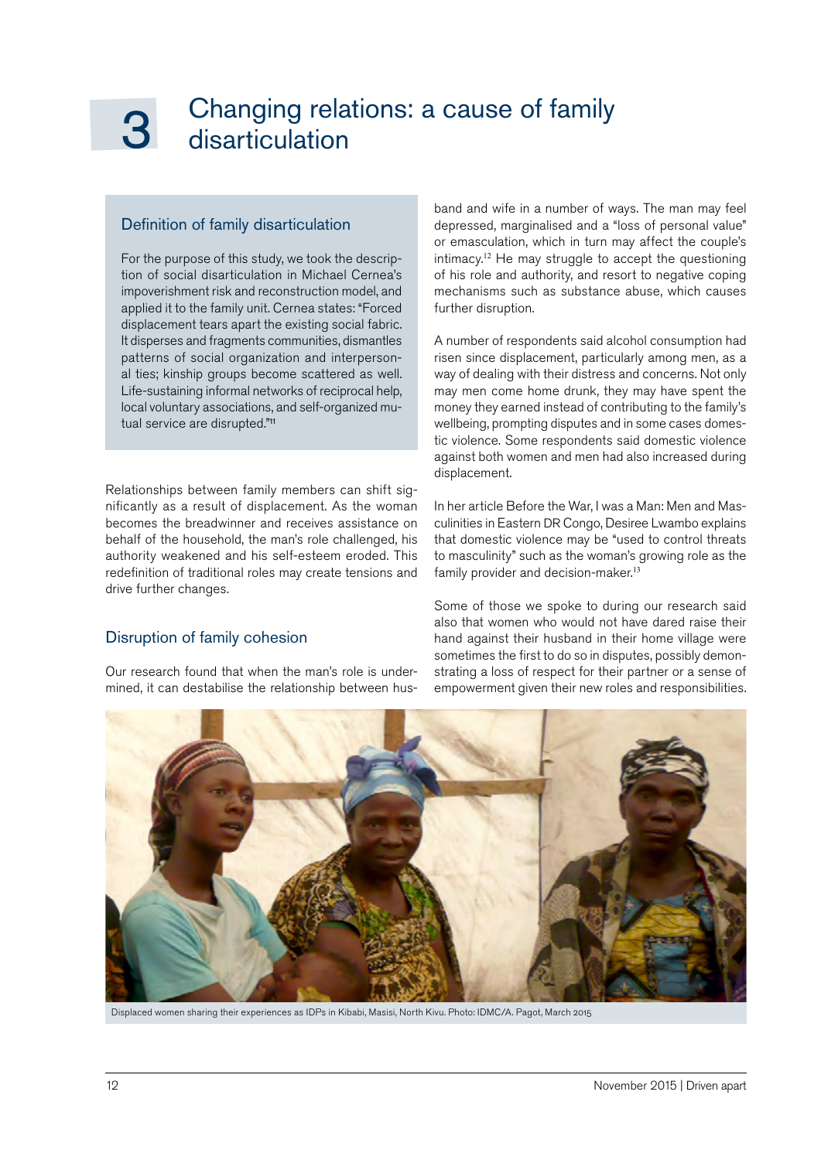### <span id="page-11-0"></span>Changing relations: a cause of family disarticulation

### Definition of family disarticulation

For the purpose of this study, we took the description of social disarticulation in Michael Cernea's impoverishment risk and reconstruction model, and applied it to the family unit. Cernea states: "Forced displacement tears apart the existing social fabric. It disperses and fragments communities, dismantles patterns of social organization and interpersonal ties; kinship groups become scattered as well. Life-sustaining informal networks of reciprocal help, local voluntary associations, and self-organized mutual service are disrupted."<sup>11</sup>

Relationships between family members can shift significantly as a result of displacement. As the woman becomes the breadwinner and receives assistance on behalf of the household, the man's role challenged, his authority weakened and his self-esteem eroded. This redefinition of traditional roles may create tensions and drive further changes.

### Disruption of family cohesion

Our research found that when the man's role is undermined, it can destabilise the relationship between hus-

band and wife in a number of ways. The man may feel depressed, marginalised and a "loss of personal value" or emasculation, which in turn may affect the couple's intimacy.<sup>12</sup> He may struggle to accept the questioning of his role and authority, and resort to negative coping mechanisms such as substance abuse, which causes further disruption.

A number of respondents said alcohol consumption had risen since displacement, particularly among men, as a way of dealing with their distress and concerns. Not only may men come home drunk, they may have spent the money they earned instead of contributing to the family's wellbeing, prompting disputes and in some cases domestic violence. Some respondents said domestic violence against both women and men had also increased during displacement.

In her article Before the War, I was a Man: Men and Masculinities in Eastern DR Congo, Desiree Lwambo explains that domestic violence may be "used to control threats to masculinity" such as the woman's growing role as the family provider and decision-maker.<sup>13</sup>

Some of those we spoke to during our research said also that women who would not have dared raise their hand against their husband in their home village were sometimes the first to do so in disputes, possibly demonstrating a loss of respect for their partner or a sense of empowerment given their new roles and responsibilities.



Displaced women sharing their experiences as IDPs in Kibabi, Masisi, North Kivu. Photo: IDMC/A. Pagot, March 2015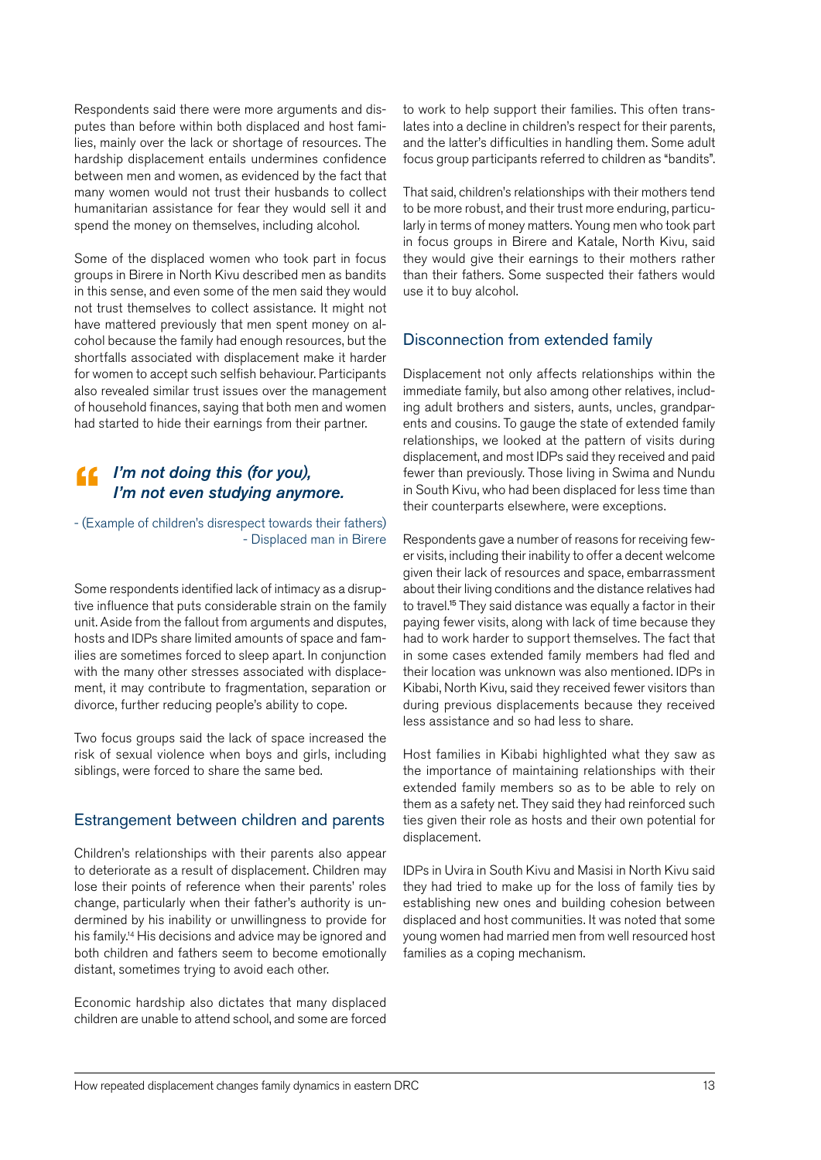<span id="page-12-0"></span>Respondents said there were more arguments and disputes than before within both displaced and host families, mainly over the lack or shortage of resources. The hardship displacement entails undermines confidence between men and women, as evidenced by the fact that many women would not trust their husbands to collect humanitarian assistance for fear they would sell it and spend the money on themselves, including alcohol.

Some of the displaced women who took part in focus groups in Birere in North Kivu described men as bandits in this sense, and even some of the men said they would not trust themselves to collect assistance. It might not have mattered previously that men spent money on alcohol because the family had enough resources, but the shortfalls associated with displacement make it harder for women to accept such selfish behaviour. Participants also revealed similar trust issues over the management of household finances, saying that both men and women had started to hide their earnings from their partner.

### *I'm not doing this (for you), I'm not even studying anymore.*

- (Example of children's disrespect towards their fathers) - Displaced man in Birere

Some respondents identified lack of intimacy as a disruptive influence that puts considerable strain on the family unit. Aside from the fallout from arguments and disputes, hosts and IDPs share limited amounts of space and families are sometimes forced to sleep apart. In conjunction with the many other stresses associated with displacement, it may contribute to fragmentation, separation or divorce, further reducing people's ability to cope.

Two focus groups said the lack of space increased the risk of sexual violence when boys and girls, including siblings, were forced to share the same bed.

### Estrangement between children and parents

Children's relationships with their parents also appear to deteriorate as a result of displacement. Children may lose their points of reference when their parents' roles change, particularly when their father's authority is undermined by his inability or unwillingness to provide for his family.<sup>14</sup> His decisions and advice may be ignored and both children and fathers seem to become emotionally distant, sometimes trying to avoid each other.

Economic hardship also dictates that many displaced children are unable to attend school, and some are forced to work to help support their families. This often translates into a decline in children's respect for their parents, and the latter's difficulties in handling them. Some adult focus group participants referred to children as "bandits".

That said, children's relationships with their mothers tend to be more robust, and their trust more enduring, particularly in terms of money matters. Young men who took part in focus groups in Birere and Katale, North Kivu, said they would give their earnings to their mothers rather than their fathers. Some suspected their fathers would use it to buy alcohol.

### Disconnection from extended family

Displacement not only affects relationships within the immediate family, but also among other relatives, including adult brothers and sisters, aunts, uncles, grandparents and cousins. To gauge the state of extended family relationships, we looked at the pattern of visits during displacement, and most IDPs said they received and paid fewer than previously. Those living in Swima and Nundu in South Kivu, who had been displaced for less time than their counterparts elsewhere, were exceptions.

Respondents gave a number of reasons for receiving fewer visits, including their inability to offer a decent welcome given their lack of resources and space, embarrassment about their living conditions and the distance relatives had to travel.<sup>15</sup> They said distance was equally a factor in their paying fewer visits, along with lack of time because they had to work harder to support themselves. The fact that in some cases extended family members had fled and their location was unknown was also mentioned. IDPs in Kibabi, North Kivu, said they received fewer visitors than during previous displacements because they received less assistance and so had less to share.

Host families in Kibabi highlighted what they saw as the importance of maintaining relationships with their extended family members so as to be able to rely on them as a safety net. They said they had reinforced such ties given their role as hosts and their own potential for displacement.

IDPs in Uvira in South Kivu and Masisi in North Kivu said they had tried to make up for the loss of family ties by establishing new ones and building cohesion between displaced and host communities. It was noted that some young women had married men from well resourced host families as a coping mechanism.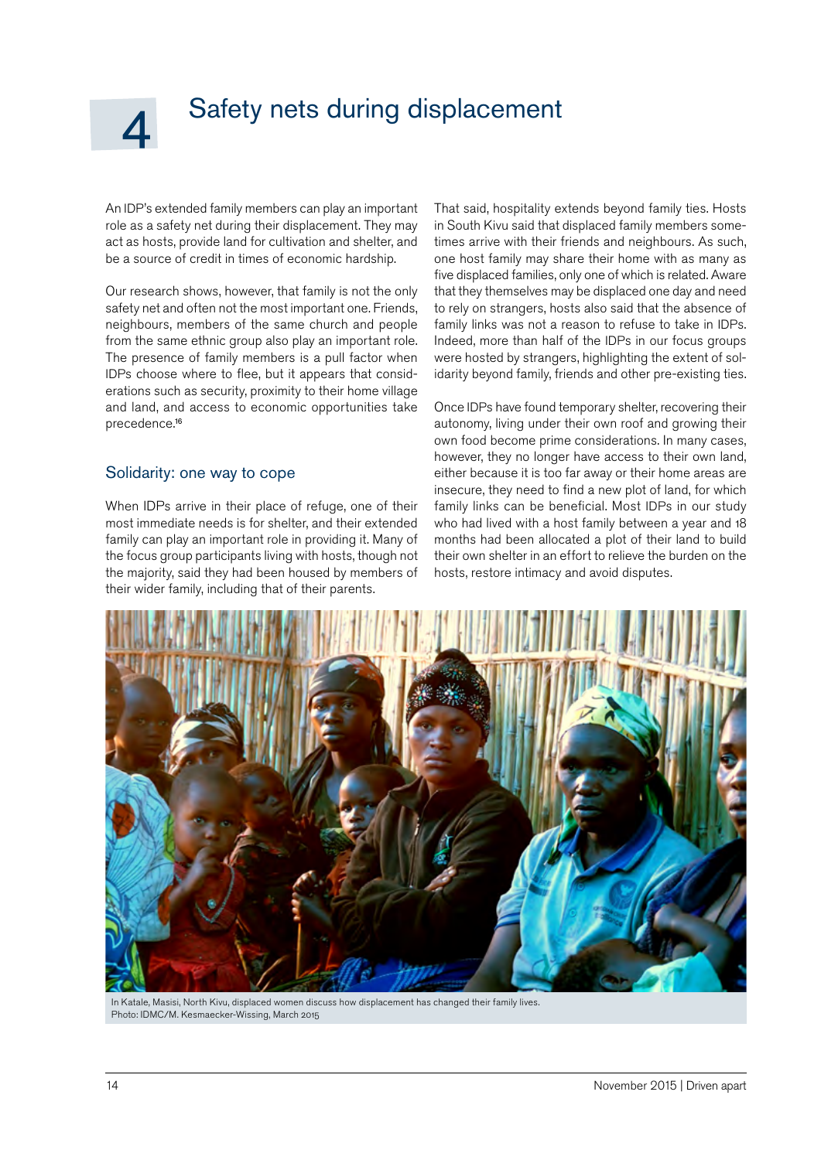## <span id="page-13-0"></span>Safety nets during displacement

An IDP's extended family members can play an important role as a safety net during their displacement. They may act as hosts, provide land for cultivation and shelter, and be a source of credit in times of economic hardship.

Our research shows, however, that family is not the only safety net and often not the most important one. Friends, neighbours, members of the same church and people from the same ethnic group also play an important role. The presence of family members is a pull factor when IDPs choose where to flee, but it appears that considerations such as security, proximity to their home village and land, and access to economic opportunities take precedence.<sup>16</sup>

### Solidarity: one way to cope

When IDPs arrive in their place of refuge, one of their most immediate needs is for shelter, and their extended family can play an important role in providing it. Many of the focus group participants living with hosts, though not the majority, said they had been housed by members of their wider family, including that of their parents.

That said, hospitality extends beyond family ties. Hosts in South Kivu said that displaced family members sometimes arrive with their friends and neighbours. As such, one host family may share their home with as many as five displaced families, only one of which is related. Aware that they themselves may be displaced one day and need to rely on strangers, hosts also said that the absence of family links was not a reason to refuse to take in IDPs. Indeed, more than half of the IDPs in our focus groups were hosted by strangers, highlighting the extent of solidarity beyond family, friends and other pre-existing ties.

Once IDPs have found temporary shelter, recovering their autonomy, living under their own roof and growing their own food become prime considerations. In many cases, however, they no longer have access to their own land, either because it is too far away or their home areas are insecure, they need to find a new plot of land, for which family links can be beneficial. Most IDPs in our study who had lived with a host family between a year and 18 months had been allocated a plot of their land to build their own shelter in an effort to relieve the burden on the hosts, restore intimacy and avoid disputes.



In Katale, Masisi, North Kivu, displaced women discuss how displacement has changed their family lives. Photo: IDMC/M. Kesmaecker-Wissing, March 2015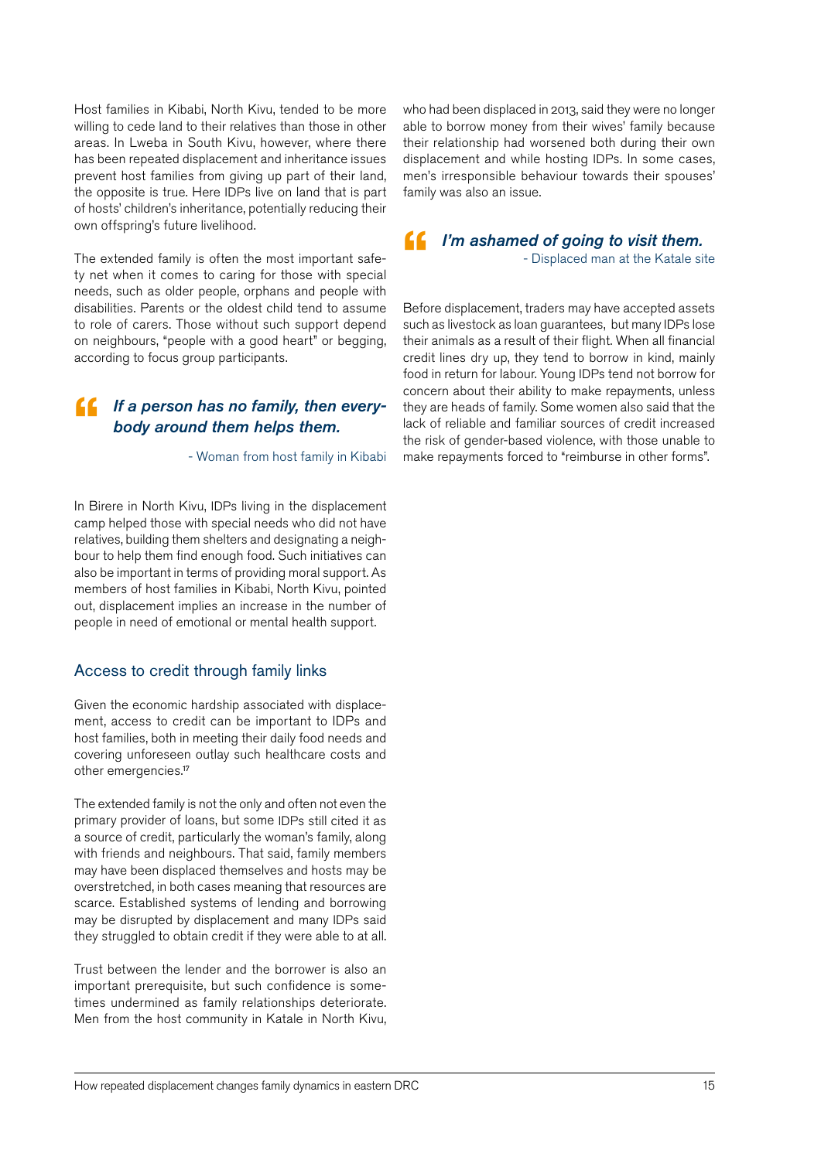<span id="page-14-0"></span>Host families in Kibabi, North Kivu, tended to be more willing to cede land to their relatives than those in other areas. In Lweba in South Kivu, however, where there has been repeated displacement and inheritance issues prevent host families from giving up part of their land, the opposite is true. Here IDPs live on land that is part of hosts' children's inheritance, potentially reducing their own offspring's future livelihood.

The extended family is often the most important safety net when it comes to caring for those with special needs, such as older people, orphans and people with disabilities. Parents or the oldest child tend to assume to role of carers. Those without such support depend on neighbours, "people with a good heart" or begging, according to focus group participants.

## *If a person has no family, then every-*<br>body around them helps them.<br>Woman from host family in Kibabi*body around them helps them.*

- Woman from host family in Kibabi

In Birere in North Kivu, IDPs living in the displacement camp helped those with special needs who did not have relatives, building them shelters and designating a neighbour to help them find enough food. Such initiatives can also be important in terms of providing moral support. As members of host families in Kibabi, North Kivu, pointed out, displacement implies an increase in the number of people in need of emotional or mental health support.

### Access to credit through family links

Given the economic hardship associated with displacement, access to credit can be important to IDPs and host families, both in meeting their daily food needs and covering unforeseen outlay such healthcare costs and other emergencies.<sup>17</sup>

The extended family is not the only and often not even the primary provider of loans, but some IDPs still cited it as a source of credit, particularly the woman's family, along with friends and neighbours. That said, family members may have been displaced themselves and hosts may be overstretched, in both cases meaning that resources are scarce. Established systems of lending and borrowing may be disrupted by displacement and many IDPs said they struggled to obtain credit if they were able to at all.

Trust between the lender and the borrower is also an important prerequisite, but such confidence is sometimes undermined as family relationships deteriorate. Men from the host community in Katale in North Kivu, who had been displaced in 2013, said they were no longer able to borrow money from their wives' family because their relationship had worsened both during their own displacement and while hosting IDPs. In some cases, men's irresponsible behaviour towards their spouses' family was also an issue.

#### *I'm ashamed of going to visit them.*  - Displaced man at the Katale site "

Before displacement, traders may have accepted assets such as livestock as loan guarantees, but many IDPs lose their animals as a result of their flight. When all financial credit lines dry up, they tend to borrow in kind, mainly food in return for labour. Young IDPs tend not borrow for concern about their ability to make repayments, unless they are heads of family. Some women also said that the lack of reliable and familiar sources of credit increased the risk of gender-based violence, with those unable to make repayments forced to "reimburse in other forms".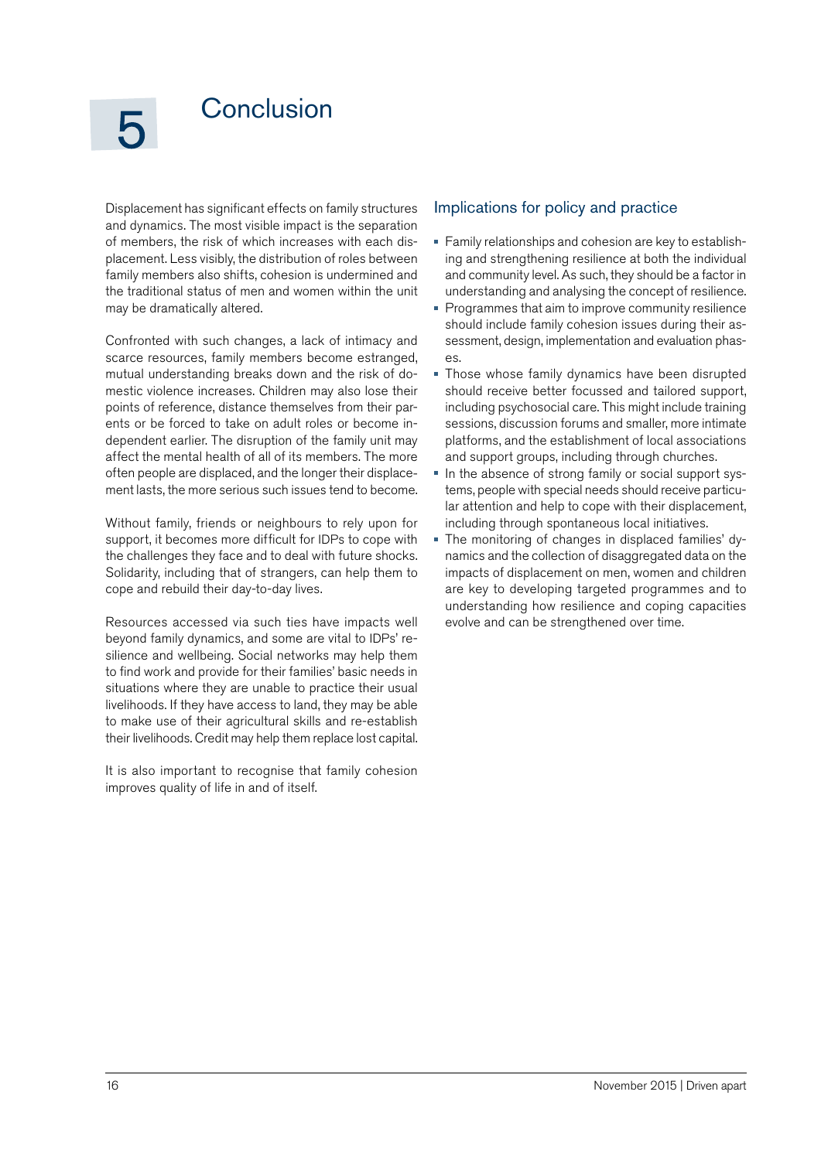### <span id="page-15-0"></span>**Conclusion**

Displacement has significant effects on family structures and dynamics. The most visible impact is the separation of members, the risk of which increases with each displacement. Less visibly, the distribution of roles between family members also shifts, cohesion is undermined and the traditional status of men and women within the unit may be dramatically altered.

Confronted with such changes, a lack of intimacy and scarce resources, family members become estranged, mutual understanding breaks down and the risk of domestic violence increases. Children may also lose their points of reference, distance themselves from their parents or be forced to take on adult roles or become independent earlier. The disruption of the family unit may affect the mental health of all of its members. The more often people are displaced, and the longer their displacement lasts, the more serious such issues tend to become.

Without family, friends or neighbours to rely upon for support, it becomes more difficult for IDPs to cope with the challenges they face and to deal with future shocks. Solidarity, including that of strangers, can help them to cope and rebuild their day-to-day lives.

Resources accessed via such ties have impacts well beyond family dynamics, and some are vital to IDPs' resilience and wellbeing. Social networks may help them to find work and provide for their families' basic needs in situations where they are unable to practice their usual livelihoods. If they have access to land, they may be able to make use of their agricultural skills and re-establish their livelihoods. Credit may help them replace lost capital.

It is also important to recognise that family cohesion improves quality of life in and of itself.

### Implications for policy and practice

- Family relationships and cohesion are key to establishing and strengthening resilience at both the individual and community level. As such, they should be a factor in understanding and analysing the concept of resilience.
- **Programmes that aim to improve community resilience** should include family cohesion issues during their assessment, design, implementation and evaluation phases.
- Those whose family dynamics have been disrupted should receive better focussed and tailored support, including psychosocial care. This might include training sessions, discussion forums and smaller, more intimate platforms, and the establishment of local associations and support groups, including through churches.
- Ĥ, In the absence of strong family or social support systems, people with special needs should receive particular attention and help to cope with their displacement, including through spontaneous local initiatives.
- The monitoring of changes in displaced families' dynamics and the collection of disaggregated data on the impacts of displacement on men, women and children are key to developing targeted programmes and to understanding how resilience and coping capacities evolve and can be strengthened over time.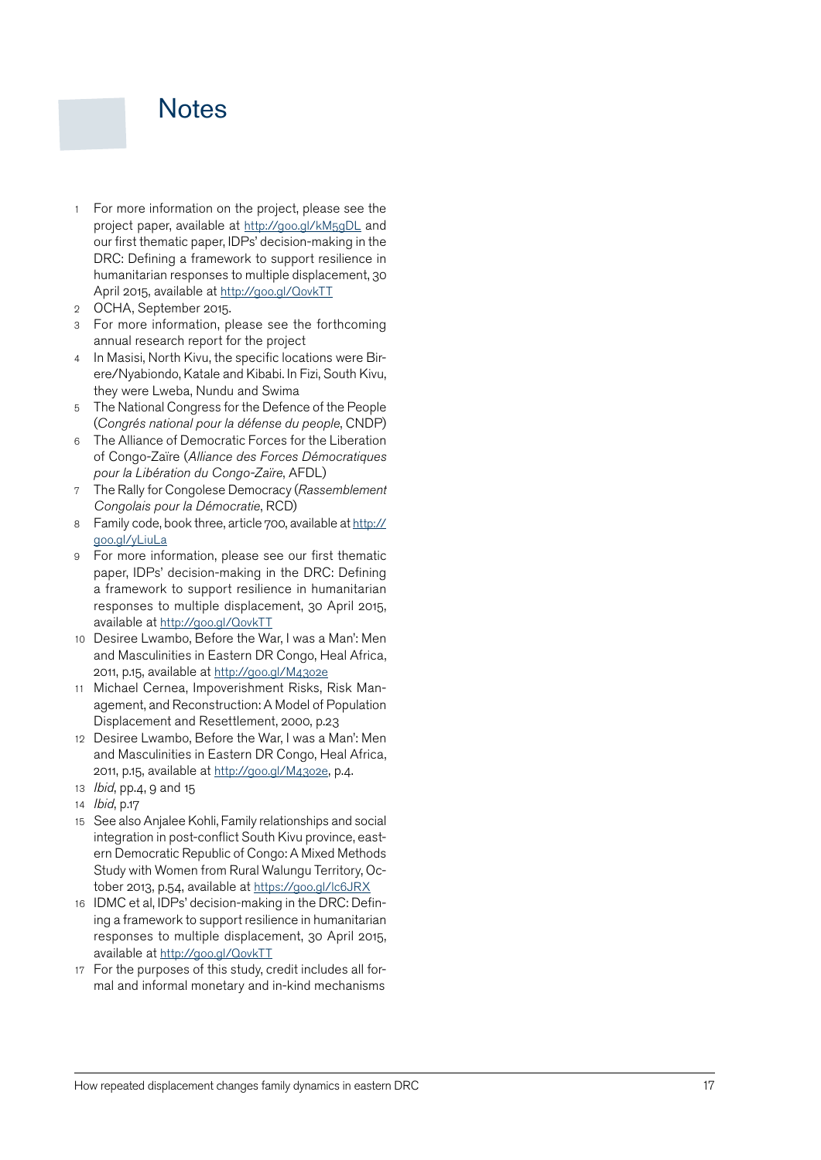### <span id="page-16-0"></span>**Notes**

- How repeated the more interesting of the state of the state of the projection of the projection of the projection of the state of the projection of the projection of the projection of the projection of the projection of t project paper, available at <http://goo.gl/kM5gDL>and our first thematic paper, IDPs' decision-making in the DRC: Defining a framework to support resilience in humanitarian responses to multiple displacement, 30 April 2015, available at<http://goo.gl/QovkTT>
- 2 OCHA, September 2015.
- 3 For more information, please see the forthcoming annual research report for the project
- 4 In Masisi, North Kivu, the specific locations were Birere/Nyabiondo, Katale and Kibabi. In Fizi, South Kivu, they were Lweba, Nundu and Swima
- <sup>5</sup> The National Congress for the Defence of the People (*Congrés national pour la défense du people*, CNDP)
- 6 The Alliance of Democratic Forces for the Liberation of Congo-Zaïre (*Alliance des Forces Démocratiques pour la Libération du Congo-Zaïre*, AFDL)
- 7 The Rally for Congolese Democracy (*Rassemblement Congolais pour la Démocratie*, RCD)
- 8 Family code, book three, article 700, available at [http://](http://goo.gl/yLiuLa) [goo.gl/yLiuLa](http://goo.gl/yLiuLa)
- 9 For more information, please see our first thematic paper, IDPs' decision-making in the DRC: Defining a framework to support resilience in humanitarian responses to multiple displacement, 30 April 2015, available at<http://goo.gl/QovkTT>
- 10 Desiree Lwambo, Before the War, I was a Man': Men and Masculinities in Eastern DR Congo, Heal Africa, 2011, p.15, available at <http://goo.gl/M43o2e>
- 11 Michael Cernea, Impoverishment Risks, Risk Man agement, and Reconstruction: A Model of Population Displacement and Resettlement, 2000, p.23
- 12 Desiree Lwambo, Before the War, I was a Man': Men and Masculinities in Eastern DR Congo, Heal Africa, 2011, p.15, available at <http://goo.gl/M43o2e>, p.4.
- 13 *Ibid*, pp.4, 9 and 15
- 14 *Ibid*, p.17
- 15 See also Anjalee Kohli, Family relationships and social integration in post-conflict South Kivu province, east ern Democratic Republic of Congo: A Mixed Methods Study with Women from Rural Walungu Territory, Oc tober 2013, p.54, available at<https://goo.gl/lc6JRX>
- 16 IDMC et al, IDPs' decision-making in the DRC: Defin ing a framework to support resilience in humanitarian responses to multiple displacement, 30 April 2015, available at<http://goo.gl/QovkTT>
- 17 For the purposes of this study, credit includes all formal and informal monetary and in-kind mechanisms